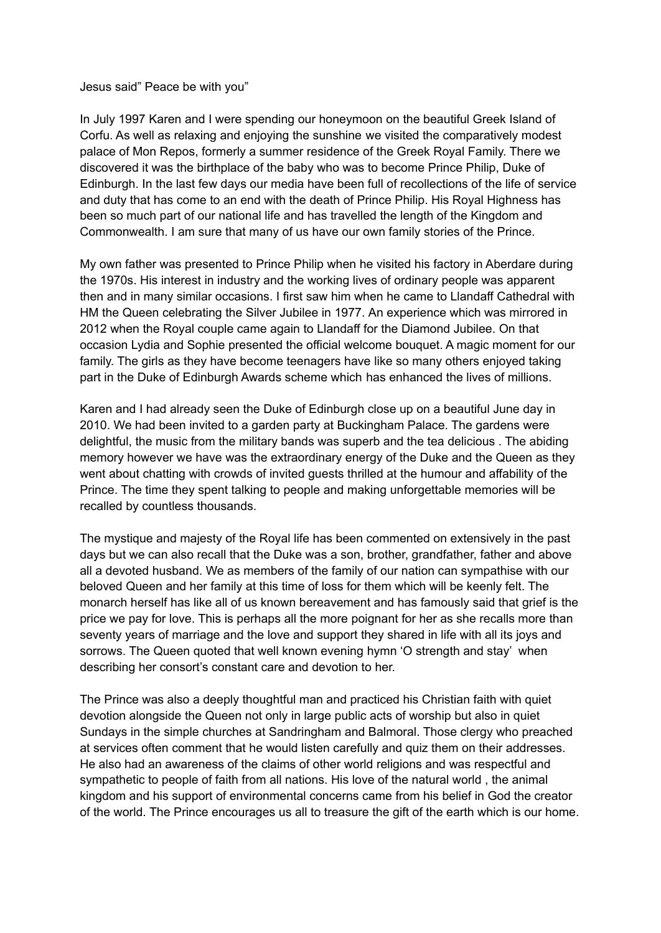## Jesus said" Peace be with you"

In July 1997 Karen and I were spending our honeymoon on the beautiful Greek Island of Corfu. As well as relaxing and enjoying the sunshine we visited the comparatively modest palace of Mon Repos, formerly a summer residence of the Greek Royal Family. There we discovered it was the birthplace of the baby who was to become Prince Philip, Duke of Edinburgh. In the last few days our media have been full of recollections of the life of service and duty that has come to an end with the death of Prince Philip. His Royal Highness has been so much part of our national life and has travelled the length of the Kingdom and Commonwealth. I am sure that many of us have our own family stories of the Prince.

My own father was presented to Prince Philip when he visited his factory in Aberdare during the 1970s. His interest in industry and the working lives of ordinary people was apparent then and in many similar occasions. I first saw him when he came to Llandaff Cathedral with HM the Queen celebrating the Silver Jubilee in 1977. An experience which was mirrored in 2012 when the Royal couple came again to Llandaff for the Diamond Jubilee. On that occasion Lydia and Sophie presented the official welcome bouquet. A magic moment for our family. The girls as they have become teenagers have like so many others enjoyed taking part in the Duke of Edinburgh Awards scheme which has enhanced the lives of millions.

Karen and I had already seen the Duke of Edinburgh close up on a beautiful June day in 2010. We had been invited to a garden party at Buckingham Palace. The gardens were delightful, the music from the military bands was superb and the tea delicious . The abiding memory however we have was the extraordinary energy of the Duke and the Queen as they went about chatting with crowds of invited guests thrilled at the humour and affability of the Prince. The time they spent talking to people and making unforgettable memories will be recalled by countless thousands.

The mystique and majesty of the Royal life has been commented on extensively in the past days but we can also recall that the Duke was a son, brother, grandfather, father and above all a devoted husband. We as members of the family of our nation can sympathise with our beloved Queen and her family at this time of loss for them which will be keenly felt. The monarch herself has like all of us known bereavement and has famously said that grief is the price we pay for love. This is perhaps all the more poignant for her as she recalls more than seventy years of marriage and the love and support they shared in life with all its joys and sorrows. The Queen quoted that well known evening hymn 'O strength and stay' when describing her consort's constant care and devotion to her.

The Prince was also a deeply thoughtful man and practiced his Christian faith with quiet devotion alongside the Queen not only in large public acts of worship but also in quiet Sundays in the simple churches at Sandringham and Balmoral. Those clergy who preached at services often comment that he would listen carefully and quiz them on their addresses. He also had an awareness of the claims of other world religions and was respectful and sympathetic to people of faith from all nations. His love of the natural world , the animal kingdom and his support of environmental concerns came from his belief in God the creator of the world. The Prince encourages us all to treasure the gift of the earth which is our home.